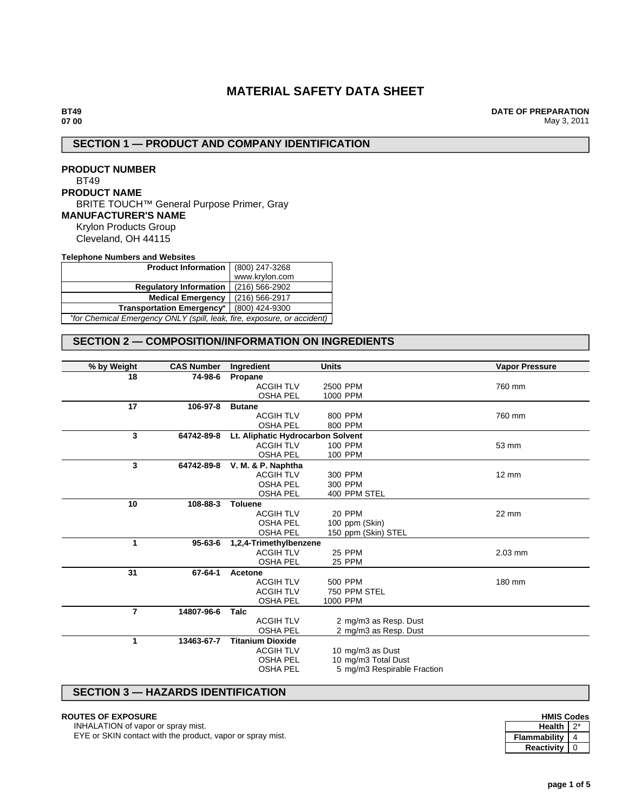# **MATERIAL SAFETY DATA SHEET**

**DATE OF PREPARATION** May 3, 2011

# **SECTION 1 — PRODUCT AND COMPANY IDENTIFICATION**

**PRODUCT NUMBER** BT49 **PRODUCT NAME** BRITE TOUCH™ General Purpose Primer, Gray **MANUFACTURER'S NAME** Krylon Products Group Cleveland, OH 44115

**Telephone Numbers and Websites**

| Product Information   (800) 247-3268                                    |                |  |  |  |
|-------------------------------------------------------------------------|----------------|--|--|--|
|                                                                         | www.krylon.com |  |  |  |
| <b>Regulatory Information</b>                                           | (216) 566-2902 |  |  |  |
| (216) 566-2917<br><b>Medical Emergency</b>                              |                |  |  |  |
| <b>Transportation Emergency*</b><br>(800) 424-9300                      |                |  |  |  |
| *for Chemical Emergency ONLY (spill, leak, fire, exposure, or accident) |                |  |  |  |

# **SECTION 2 — COMPOSITION/INFORMATION ON INGREDIENTS**

| % by Weight    | <b>CAS Number</b> | Ingredient                        | <b>Units</b>                | <b>Vapor Pressure</b> |
|----------------|-------------------|-----------------------------------|-----------------------------|-----------------------|
| 18             | 74-98-6           | Propane                           |                             |                       |
|                |                   | <b>ACGIH TLV</b>                  | 2500 PPM                    | 760 mm                |
|                |                   | <b>OSHA PEL</b>                   | 1000 PPM                    |                       |
| 17             | 106-97-8          | <b>Butane</b>                     |                             |                       |
|                |                   | <b>ACGIH TLV</b>                  | 800 PPM                     | 760 mm                |
|                |                   | <b>OSHA PEL</b>                   | 800 PPM                     |                       |
| 3              | 64742-89-8        | Lt. Aliphatic Hydrocarbon Solvent |                             |                       |
|                |                   | <b>ACGIH TLV</b>                  | <b>100 PPM</b>              | 53 mm                 |
|                |                   | <b>OSHA PEL</b>                   | 100 PPM                     |                       |
| 3              | 64742-89-8        | V. M. & P. Naphtha                |                             |                       |
|                |                   | <b>ACGIH TLV</b>                  | 300 PPM                     | $12 \text{ mm}$       |
|                |                   | <b>OSHA PEL</b>                   | 300 PPM                     |                       |
|                |                   | <b>OSHA PEL</b>                   | 400 PPM STEL                |                       |
| 10             | 108-88-3          | <b>Toluene</b>                    |                             |                       |
|                |                   | <b>ACGIH TLV</b>                  | 20 PPM                      | 22 mm                 |
|                |                   | <b>OSHA PEL</b>                   | 100 ppm (Skin)              |                       |
|                |                   | <b>OSHA PEL</b>                   | 150 ppm (Skin) STEL         |                       |
| 1              | $95 - 63 - 6$     | 1,2,4-Trimethylbenzene            |                             |                       |
|                |                   | <b>ACGIH TLV</b>                  | <b>25 PPM</b>               | $2.03$ mm             |
|                |                   | <b>OSHA PEL</b>                   | 25 PPM                      |                       |
| 31             | 67-64-1           | Acetone                           |                             |                       |
|                |                   | <b>ACGIH TLV</b>                  | 500 PPM                     | 180 mm                |
|                |                   | <b>ACGIH TLV</b>                  | 750 PPM STEL                |                       |
|                |                   | <b>OSHA PEL</b>                   | 1000 PPM                    |                       |
| $\overline{7}$ | 14807-96-6        | <b>Talc</b>                       |                             |                       |
|                |                   | <b>ACGIH TLV</b>                  | 2 mg/m3 as Resp. Dust       |                       |
|                |                   | <b>OSHA PEL</b>                   | 2 mg/m3 as Resp. Dust       |                       |
| 1              | 13463-67-7        | <b>Titanium Dioxide</b>           |                             |                       |
|                |                   | <b>ACGIH TLV</b>                  | 10 mg/m3 as Dust            |                       |
|                |                   | <b>OSHA PEL</b>                   | 10 mg/m3 Total Dust         |                       |
|                |                   | <b>OSHA PEL</b>                   | 5 mg/m3 Respirable Fraction |                       |
|                |                   |                                   |                             |                       |

# **SECTION 3 — HAZARDS IDENTIFICATION**

#### **ROUTES OF EXPOSURE**

INHALATION of vapor or spray mist.

EYE or SKIN contact with the product, vapor or spray mist.

| <b>HMIS Codes</b> |  |  |
|-------------------|--|--|
| <b>Health</b>     |  |  |
| Flammability      |  |  |
| Reactivity        |  |  |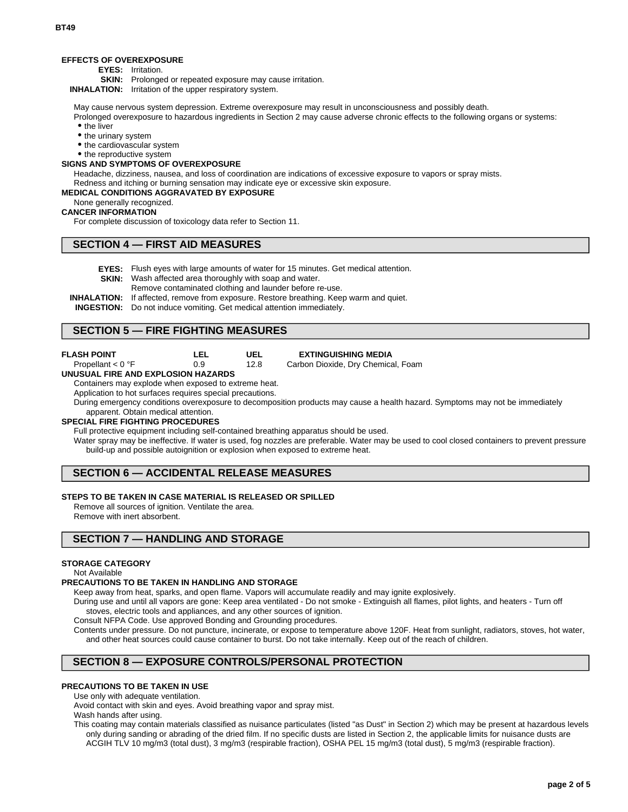#### **EFFECTS OF OVEREXPOSURE**

**EYES:** Irritation.

**SKIN:** Prolonged or repeated exposure may cause irritation.

**INHALATION:** Irritation of the upper respiratory system.

May cause nervous system depression. Extreme overexposure may result in unconsciousness and possibly death.

Prolonged overexposure to hazardous ingredients in Section 2 may cause adverse chronic effects to the following organs or systems: • the liver

- the urinary system
- the cardiovascular system
- the reproductive system

# **SIGNS AND SYMPTOMS OF OVEREXPOSURE**

Headache, dizziness, nausea, and loss of coordination are indications of excessive exposure to vapors or spray mists. Redness and itching or burning sensation may indicate eye or excessive skin exposure.

# **MEDICAL CONDITIONS AGGRAVATED BY EXPOSURE**

None generally recognized.

#### **CANCER INFORMATION**

For complete discussion of toxicology data refer to Section 11.

## **SECTION 4 — FIRST AID MEASURES**

**EYES:** Flush eyes with large amounts of water for 15 minutes. Get medical attention.

**SKIN:** Wash affected area thoroughly with soap and water.

Remove contaminated clothing and launder before re-use.

**INHALATION:** If affected, remove from exposure. Restore breathing. Keep warm and quiet.

**UEL** 12.8

**INGESTION:** Do not induce vomiting. Get medical attention immediately.

# **SECTION 5 — FIRE FIGHTING MEASURES**

| <b>FLASH POINT</b> |  |
|--------------------|--|
|                    |  |

| g<br>$^{\prime}$ |
|------------------|

#### **EXTINGUISHING MEDIA**

Carbon Dioxide, Dry Chemical, Foam

#### Propellant < 0 °F **UNUSUAL FIRE AND EXPLOSION HAZARDS**

Containers may explode when exposed to extreme heat.

Application to hot surfaces requires special precautions.

During emergency conditions overexposure to decomposition products may cause a health hazard. Symptoms may not be immediately apparent. Obtain medical attention.

# **SPECIAL FIRE FIGHTING PROCEDURES**

Full protective equipment including self-contained breathing apparatus should be used.

Water spray may be ineffective. If water is used, fog nozzles are preferable. Water may be used to cool closed containers to prevent pressure build-up and possible autoignition or explosion when exposed to extreme heat.

# **SECTION 6 — ACCIDENTAL RELEASE MEASURES**

### **STEPS TO BE TAKEN IN CASE MATERIAL IS RELEASED OR SPILLED**

Remove all sources of ignition. Ventilate the area. Remove with inert absorbent.

# **SECTION 7 — HANDLING AND STORAGE**

## **STORAGE CATEGORY**

Not Available

#### **PRECAUTIONS TO BE TAKEN IN HANDLING AND STORAGE**

Keep away from heat, sparks, and open flame. Vapors will accumulate readily and may ignite explosively.

During use and until all vapors are gone: Keep area ventilated - Do not smoke - Extinguish all flames, pilot lights, and heaters - Turn off stoves, electric tools and appliances, and any other sources of ignition.

Consult NFPA Code. Use approved Bonding and Grounding procedures.

Contents under pressure. Do not puncture, incinerate, or expose to temperature above 120F. Heat from sunlight, radiators, stoves, hot water, and other heat sources could cause container to burst. Do not take internally. Keep out of the reach of children.

# **SECTION 8 — EXPOSURE CONTROLS/PERSONAL PROTECTION**

#### **PRECAUTIONS TO BE TAKEN IN USE**

Use only with adequate ventilation.

Avoid contact with skin and eyes. Avoid breathing vapor and spray mist.

Wash hands after using.

This coating may contain materials classified as nuisance particulates (listed "as Dust" in Section 2) which may be present at hazardous levels only during sanding or abrading of the dried film. If no specific dusts are listed in Section 2, the applicable limits for nuisance dusts are ACGIH TLV 10 mg/m3 (total dust), 3 mg/m3 (respirable fraction), OSHA PEL 15 mg/m3 (total dust), 5 mg/m3 (respirable fraction).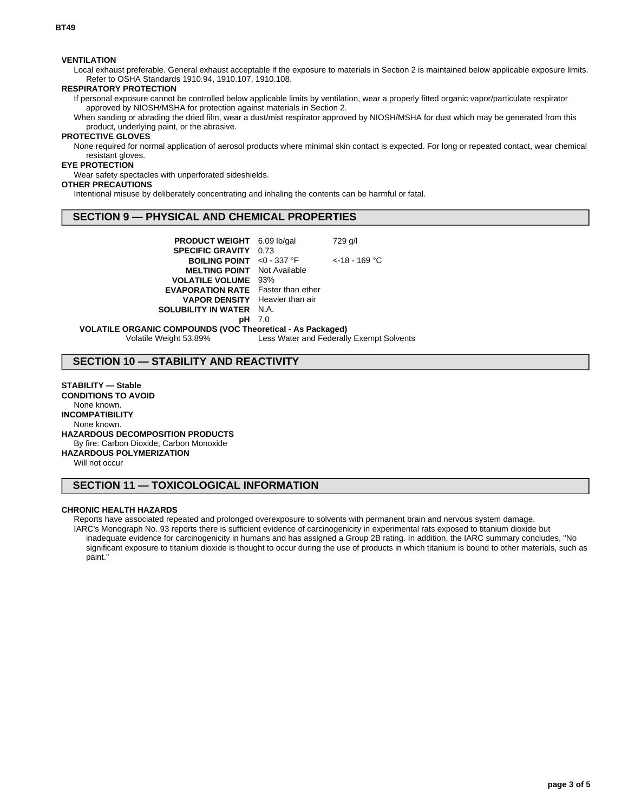### **VENTILATION**

Local exhaust preferable. General exhaust acceptable if the exposure to materials in Section 2 is maintained below applicable exposure limits. Refer to OSHA Standards 1910.94, 1910.107, 1910.108.

### **RESPIRATORY PROTECTION**

If personal exposure cannot be controlled below applicable limits by ventilation, wear a properly fitted organic vapor/particulate respirator approved by NIOSH/MSHA for protection against materials in Section 2.

When sanding or abrading the dried film, wear a dust/mist respirator approved by NIOSH/MSHA for dust which may be generated from this product, underlying paint, or the abrasive.

# **PROTECTIVE GLOVES**

None required for normal application of aerosol products where minimal skin contact is expected. For long or repeated contact, wear chemical resistant gloves.

# **EYE PROTECTION**

Wear safety spectacles with unperforated sideshields.

# **OTHER PRECAUTIONS**

Intentional misuse by deliberately concentrating and inhaling the contents can be harmful or fatal.

# **SECTION 9 — PHYSICAL AND CHEMICAL PROPERTIES**

| <b>PRODUCT WEIGHT</b> 6.09 lb/gal<br><b>SPECIFIC GRAVITY 0.73</b>                  |  | 729 g/l            |  |  |  |  |  |
|------------------------------------------------------------------------------------|--|--------------------|--|--|--|--|--|
| <b>BOILING POINT</b> <0 - 337 $^{\circ}$ F                                         |  | $\leq$ 18 - 169 °C |  |  |  |  |  |
| <b>MELTING POINT</b> Not Available<br><b>VOLATILE VOLUME 93%</b>                   |  |                    |  |  |  |  |  |
| <b>EVAPORATION RATE</b> Faster than ether<br><b>VAPOR DENSITY</b> Heavier than air |  |                    |  |  |  |  |  |
| <b>SOLUBILITY IN WATER N.A.</b><br><b>pH</b> 7.0                                   |  |                    |  |  |  |  |  |
| <b>VOLATILE ORGANIC COMPOUNDS (VOC Theoretical - As Packaged)</b>                  |  |                    |  |  |  |  |  |

Volatile Weight 53.89% Less Water and Federally Exempt Solvents

# **SECTION 10 — STABILITY AND REACTIVITY**

**STABILITY — Stable CONDITIONS TO AVOID** None known. **INCOMPATIBILITY** None known. **HAZARDOUS DECOMPOSITION PRODUCTS** By fire: Carbon Dioxide, Carbon Monoxide **HAZARDOUS POLYMERIZATION**

Will not occur

# **SECTION 11 — TOXICOLOGICAL INFORMATION**

### **CHRONIC HEALTH HAZARDS**

Reports have associated repeated and prolonged overexposure to solvents with permanent brain and nervous system damage. IARC's Monograph No. 93 reports there is sufficient evidence of carcinogenicity in experimental rats exposed to titanium dioxide but inadequate evidence for carcinogenicity in humans and has assigned a Group 2B rating. In addition, the IARC summary concludes, "No significant exposure to titanium dioxide is thought to occur during the use of products in which titanium is bound to other materials, such as paint."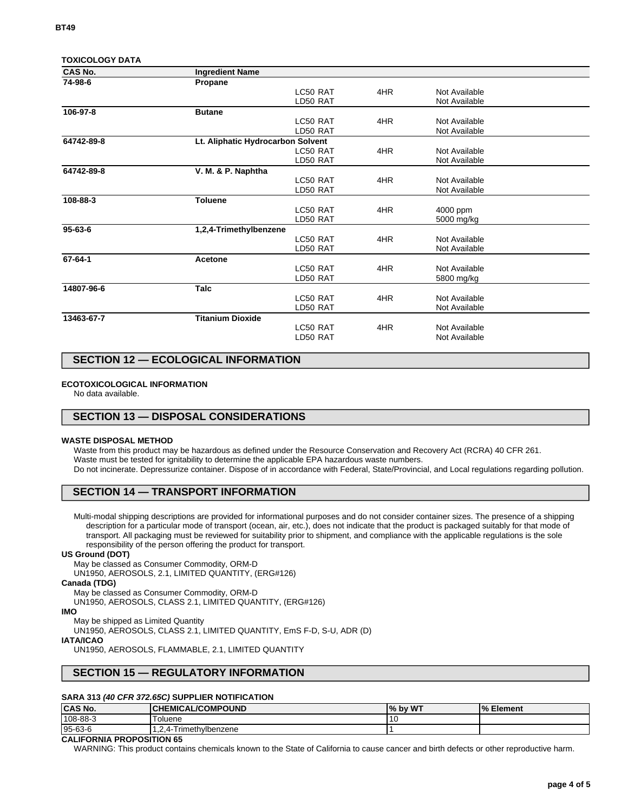|  |  |  |  | <b>TOXICOLOGY DATA</b> |
|--|--|--|--|------------------------|
|--|--|--|--|------------------------|

| CAS No.       | <b>Ingredient Name</b>            |          |     |               |  |
|---------------|-----------------------------------|----------|-----|---------------|--|
| 74-98-6       | Propane                           |          |     |               |  |
|               |                                   | LC50 RAT | 4HR | Not Available |  |
|               |                                   | LD50 RAT |     | Not Available |  |
| 106-97-8      | <b>Butane</b>                     |          |     |               |  |
|               |                                   | LC50 RAT | 4HR | Not Available |  |
|               |                                   | LD50 RAT |     | Not Available |  |
| 64742-89-8    | Lt. Aliphatic Hydrocarbon Solvent |          |     |               |  |
|               |                                   | LC50 RAT | 4HR | Not Available |  |
|               |                                   | LD50 RAT |     | Not Available |  |
| 64742-89-8    | V. M. & P. Naphtha                |          |     |               |  |
|               |                                   | LC50 RAT | 4HR | Not Available |  |
|               |                                   | LD50 RAT |     | Not Available |  |
| 108-88-3      | <b>Toluene</b>                    |          |     |               |  |
|               |                                   | LC50 RAT | 4HR | 4000 ppm      |  |
|               |                                   | LD50 RAT |     | 5000 mg/kg    |  |
| $95 - 63 - 6$ | 1,2,4-Trimethylbenzene            |          |     |               |  |
|               |                                   | LC50 RAT | 4HR | Not Available |  |
|               |                                   | LD50 RAT |     | Not Available |  |
| 67-64-1       | Acetone                           |          |     |               |  |
|               |                                   | LC50 RAT | 4HR | Not Available |  |
|               |                                   | LD50 RAT |     | 5800 mg/kg    |  |
| 14807-96-6    | <b>Talc</b>                       |          |     |               |  |
|               |                                   | LC50 RAT | 4HR | Not Available |  |
|               |                                   | LD50 RAT |     | Not Available |  |
| 13463-67-7    | <b>Titanium Dioxide</b>           |          |     |               |  |
|               |                                   | LC50 RAT | 4HR | Not Available |  |
|               |                                   | LD50 RAT |     | Not Available |  |
|               |                                   |          |     |               |  |

# **SECTION 12 — ECOLOGICAL INFORMATION**

#### **ECOTOXICOLOGICAL INFORMATION**

No data available.

# **SECTION 13 — DISPOSAL CONSIDERATIONS**

#### **WASTE DISPOSAL METHOD**

Waste from this product may be hazardous as defined under the Resource Conservation and Recovery Act (RCRA) 40 CFR 261. Waste must be tested for ignitability to determine the applicable EPA hazardous waste numbers. Do not incinerate. Depressurize container. Dispose of in accordance with Federal, State/Provincial, and Local regulations regarding pollution.

## **SECTION 14 — TRANSPORT INFORMATION**

Multi-modal shipping descriptions are provided for informational purposes and do not consider container sizes. The presence of a shipping description for a particular mode of transport (ocean, air, etc.), does not indicate that the product is packaged suitably for that mode of transport. All packaging must be reviewed for suitability prior to shipment, and compliance with the applicable regulations is the sole responsibility of the person offering the product for transport.

#### **US Ground (DOT)**

May be classed as Consumer Commodity, ORM-D

UN1950, AEROSOLS, 2.1, LIMITED QUANTITY, (ERG#126)

#### **Canada (TDG)**

May be classed as Consumer Commodity, ORM-D

UN1950, AEROSOLS, CLASS 2.1, LIMITED QUANTITY, (ERG#126)

#### **IMO**

May be shipped as Limited Quantity

UN1950, AEROSOLS, CLASS 2.1, LIMITED QUANTITY, EmS F-D, S-U, ADR (D)

### **IATA/ICAO**

UN1950, AEROSOLS, FLAMMABLE, 2.1, LIMITED QUANTITY

## **SECTION 15 — REGULATORY INFORMATION**

#### **SARA 313 (40 CFR 372.65C) SUPPLIER NOTIFICATION**

| <b>CAS No.</b> | <b>CHEMICAL/COMPOUND</b> | % by WT | <b>% Element</b> |
|----------------|--------------------------|---------|------------------|
| 108-88-3       | ⊺oluene                  |         |                  |
| 95-63-6        | Trimethylbenzene<br>4-   |         |                  |

## **CALIFORNIA PROPOSITION 65**

WARNING: This product contains chemicals known to the State of California to cause cancer and birth defects or other reproductive harm.